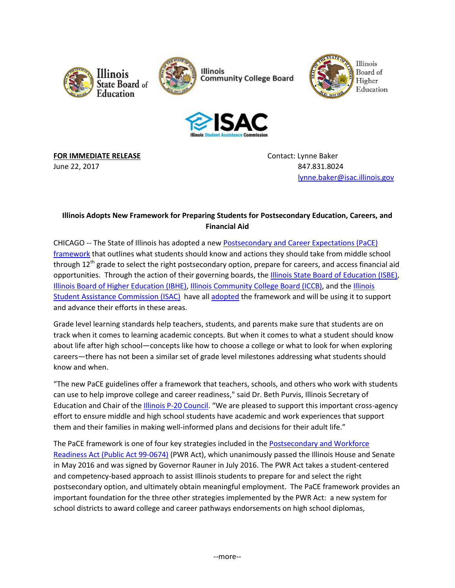







**FOR IMMEDIATE RELEASE CONTACTE ASSESSED ASSESSED ASSESSED AT A CONTACT CONTACT LYNNE Baker** 

June 22, 2017 847.831.8024 [lynne.baker@isac.illinois.gov](mailto:lynne.baker@isac.illinois.gov)

# **Illinois Adopts New Framework for Preparing Students for Postsecondary Education, Careers, and Financial Aid**

CHICAGO -- The State of Illinois has adopted a ne[w Postsecondary and Career Expectations \(PaCE\)](https://www.isbe.net/Documents/PaCE_Revisions.pdf)  [framework](https://www.isbe.net/Documents/PaCE_Revisions.pdf) that outlines what students should know and actions they should take from middle school through  $12<sup>th</sup>$  grade to select the right postsecondary option, prepare for careers, and access financial aid opportunities. Through the action of their governing boards, the [Illinois State Board of Education \(ISBE\),](http://www.isbe.net/) [Illinois Board of Higher Education \(IBHE\),](http://www.ibhe.org/) [Illinois Community College Board \(ICCB\),](http://www.iccb.org/) and th[e Illinois](http://www.isac.org/)  [Student Assistance Commission \(ISAC\)](http://www.isac.org/) have al[l adopted](http://www.ibhe.org/Board/agendas/2017/June/6.13%20VI-5.pdf) the framework and will be using it to support and advance their efforts in these areas.

Grade level learning standards help teachers, students, and parents make sure that students are on track when it comes to learning academic concepts. But when it comes to what a student should know about life after high school—concepts like how to choose a college or what to look for when exploring careers—there has not been a similar set of grade level milestones addressing what students should know and when.

"The new PaCE guidelines offer a framework that teachers, schools, and others who work with students can use to help improve college and career readiness," said Dr. Beth Purvis, Illinois Secretary of Education and Chair of the [Illinois P-20 Council](https://www.illinois.gov/gov/P20/Pages/default.aspx). "We are pleased to support this important cross-agency effort to ensure middle and high school students have academic and work experiences that support them and their families in making well-informed plans and decisions for their adult life."

The PaCE framework is one of four key strategies included in the Postsecondary and Workforce [Readiness Act \(Public Act 99-0674\)](http://www.ilga.gov/legislation/publicacts/99/PDF/099-0674.pdf) (PWR Act), which unanimously passed the Illinois House and Senate in May 2016 and was signed by Governor Rauner in July 2016. The PWR Act takes a student-centered and competency-based approach to assist Illinois students to prepare for and select the right postsecondary option, and ultimately obtain meaningful employment. The PaCE framework provides an important foundation for the three other strategies implemented by the PWR Act: a new system for school districts to award college and career pathways endorsements on high school diplomas,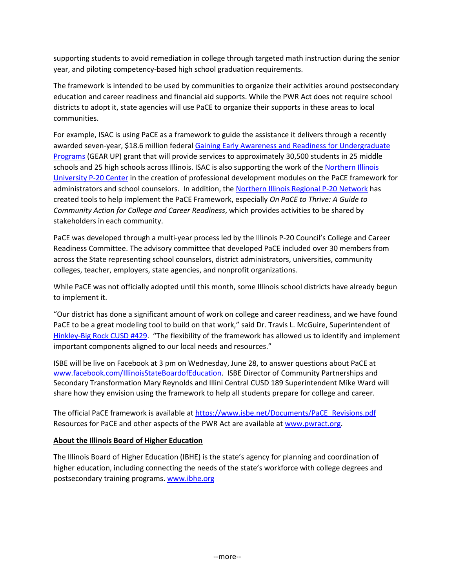supporting students to avoid remediation in college through targeted math instruction during the senior year, and piloting competency-based high school graduation requirements.

The framework is intended to be used by communities to organize their activities around postsecondary education and career readiness and financial aid supports. While the PWR Act does not require school districts to adopt it, state agencies will use PaCE to organize their supports in these areas to local communities.

For example, ISAC is using PaCE as a framework to guide the assistance it delivers through a recently awarded seven-year, \$18.6 million federa[l Gaining Early Awareness and Readiness for Undergraduate](https://www2.ed.gov/programs/gearup/index.html)  [Programs](https://www2.ed.gov/programs/gearup/index.html) (GEAR UP) grant that will provide services to approximately 30,500 students in 25 middle schools and 25 high schools across Illinois. ISAC is also supporting the work of the Northern Illinois [University P-20 Center](http://www.niu.edu/p20/) in the creation of professional development modules on the PaCE framework for administrators and school counselors. In addition, th[e Northern Illinois Regional P-20 Network](http://niu.edu/p20network/) has created tools to help implement the PaCE Framework, especially *On PaCE to Thrive: A Guide to Community Action for College and Career Readiness*, which provides activities to be shared by stakeholders in each community.

PaCE was developed through a multi-year process led by the Illinois P-20 Council's College and Career Readiness Committee. The advisory committee that developed PaCE included over 30 members from across the State representing school counselors, district administrators, universities, community colleges, teacher, employers, state agencies, and nonprofit organizations.

While PaCE was not officially adopted until this month, some Illinois school districts have already begun to implement it.

"Our district has done a significant amount of work on college and career readiness, and we have found PaCE to be a great modeling tool to build on that work," said Dr. Travis L. McGuire, Superintendent of [Hinkley-Big Rock CUSD #429.](https://www.hbr429.org/) "The flexibility of the framework has allowed us to identify and implement important components aligned to our local needs and resources."

ISBE will be live on Facebook at 3 pm on Wednesday, June 28, to answer questions about PaCE at [www.facebook.com/IllinoisStateBoardofEducation.](http://www.facebook.com/IllinoisStateBoardofEducation) ISBE Director of Community Partnerships and Secondary Transformation Mary Reynolds and Illini Central CUSD 189 Superintendent Mike Ward will share how they envision using the framework to help all students prepare for college and career.

The official PaCE framework is available at [https://www.isbe.net/Documents/PaCE\\_Revisions.pdf](https://www.isbe.net/Documents/PaCE_Revisions.pdf) Resources for PaCE and other aspects of the PWR Act are available at [www.pwract.org.](http://www.pwract.org/)

### **About the Illinois Board of Higher Education**

The Illinois Board of Higher Education (IBHE) is the state's agency for planning and coordination of higher education, including connecting the needs of the state's workforce with college degrees and postsecondary training programs. [www.ibhe.org](http://www.ibhe.org/)